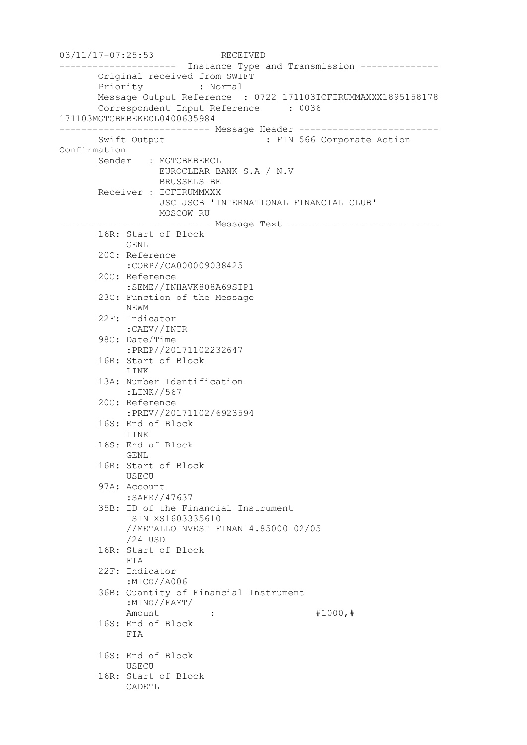```
03/11/17-07:25:53 RECEIVED
--------------------- Instance Type and Transmission --------------
       Original received from SWIFT
       Priority : Normal
       Message Output Reference : 0722 171103ICFIRUMMAXXX1895158178
       Correspondent Input Reference : 0036 
171103MGTCBEBEKECL0400635984
--------------------------- Message Header -------------------------
      Swift Output : FIN 566 Corporate Action
Confirmation
       Sender : MGTCBEBEECL
                 EUROCLEAR BANK S.A / N.V
                  BRUSSELS BE
       Receiver : ICFIRUMMXXX
                   JSC JSCB 'INTERNATIONAL FINANCIAL CLUB'
                 MOSCOW RU
--------------------------- Message Text ---------------------------
       16R: Start of Block
            GENL
        20C: Reference
            :CORP//CA000009038425
        20C: Reference
            :SEME//INHAVK808A69SIP1
        23G: Function of the Message
            NEWM
        22F: Indicator
            :CAEV//INTR
        98C: Date/Time
            :PREP//20171102232647
        16R: Start of Block
            LINK
        13A: Number Identification
            :LINK//567
        20C: Reference
            :PREV//20171102/6923594
        16S: End of Block
            LINK
        16S: End of Block
            GENL
        16R: Start of Block
            USECU
        97A: Account
            :SAFE//47637
        35B: ID of the Financial Instrument
            ISIN XS1603335610
            //METALLOINVEST FINAN 4.85000 02/05
            /24 USD
        16R: Start of Block
            FIA
        22F: Indicator
             :MICO//A006
        36B: Quantity of Financial Instrument
            :MINO//FAMT/
           Amount : : #1000, #
        16S: End of Block
            FIA
        16S: End of Block
            USECU
        16R: Start of Block
            CADETL
```